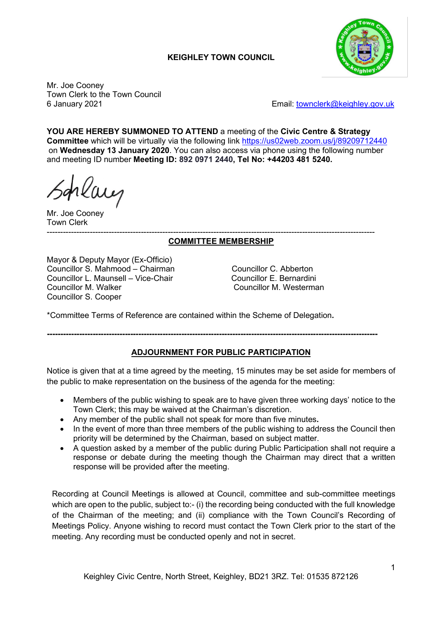# **KEIGHLEY TOWN COUNCIL**



Mr. Joe Cooney Town Clerk to the Town Council

6 January 2021 Email: [townclerk@keighley.gov.uk](mailto:townclerk@keighley.gov.uk)

**YOU ARE HEREBY SUMMONED TO ATTEND** a meeting of the **Civic Centre & Strategy Committee** which will be virtually via the following link <https://us02web.zoom.us/j/89209712440> on **Wednesday 13 January 2020**. You can also access via phone using the following number and meeting ID number **Meeting ID: 892 0971 2440, Tel No: +44203 481 5240.**

Mr. Joe Cooney Town Clerk

#### -------------------------------------------------------------------------------------------------------------------------- **COMMITTEE MEMBERSHIP**

Mayor & Deputy Mayor (Ex-Officio) Councillor S. Mahmood – Chairman Councillor C. Abberton Councillor L. Maunsell – Vice-Chair France Councillor E. Bernardini<br>Councillor M. Walker Councillor M. Westerma Councillor S. Cooper

Councillor M. Westerman

\*Committee Terms of Reference are contained within the Scheme of Delegation**.**

**---------------------------------------------------------------------------------------------------------------------------**

## **ADJOURNMENT FOR PUBLIC PARTICIPATION**

Notice is given that at a time agreed by the meeting, 15 minutes may be set aside for members of the public to make representation on the business of the agenda for the meeting:

- Members of the public wishing to speak are to have given three working days' notice to the Town Clerk; this may be waived at the Chairman's discretion.
- Any member of the public shall not speak for more than five minutes**.**
- In the event of more than three members of the public wishing to address the Council then priority will be determined by the Chairman, based on subject matter.
- A question asked by a member of the public during Public Participation shall not require a response or debate during the meeting though the Chairman may direct that a written response will be provided after the meeting.

Recording at Council Meetings is allowed at Council, committee and sub-committee meetings which are open to the public, subject to:- (i) the recording being conducted with the full knowledge of the Chairman of the meeting; and (ii) compliance with the Town Council's Recording of Meetings Policy. Anyone wishing to record must contact the Town Clerk prior to the start of the meeting. Any recording must be conducted openly and not in secret.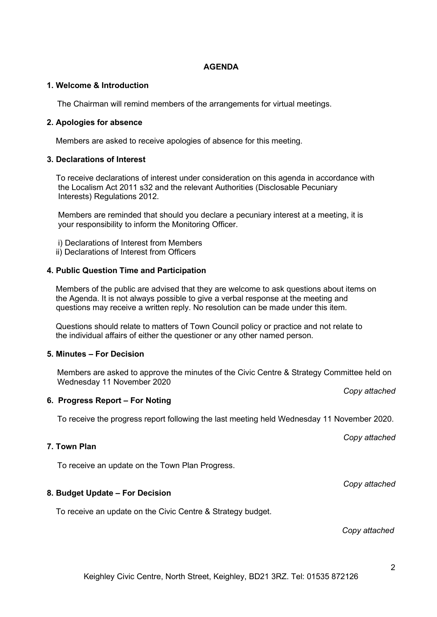## **AGENDA**

## **1. Welcome & Introduction**

The Chairman will remind members of the arrangements for virtual meetings.

## **2. Apologies for absence**

Members are asked to receive apologies of absence for this meeting.

### **3. Declarations of Interest**

 To receive declarations of interest under consideration on this agenda in accordance with the Localism Act 2011 s32 and the relevant Authorities (Disclosable Pecuniary Interests) Regulations 2012.

 Members are reminded that should you declare a pecuniary interest at a meeting, it is your responsibility to inform the Monitoring Officer.

i) Declarations of Interest from Members

ii) Declarations of Interest from Officers

### **4. Public Question Time and Participation**

 Members of the public are advised that they are welcome to ask questions about items on the Agenda. It is not always possible to give a verbal response at the meeting and questions may receive a written reply. No resolution can be made under this item.

 Questions should relate to matters of Town Council policy or practice and not relate to the individual affairs of either the questioner or any other named person.

## **5. Minutes – For Decision**

Members are asked to approve the minutes of the Civic Centre & Strategy Committee held on Wednesday 11 November 2020

#### **6. Progress Report – For Noting**

To receive the progress report following the last meeting held Wednesday 11 November 2020.

### **7. Town Plan**

To receive an update on the Town Plan Progress.

## **8. Budget Update – For Decision**

To receive an update on the Civic Centre & Strategy budget.

 *Copy attached*

*Copy attached*

*Copy attached*

*Copy attached*